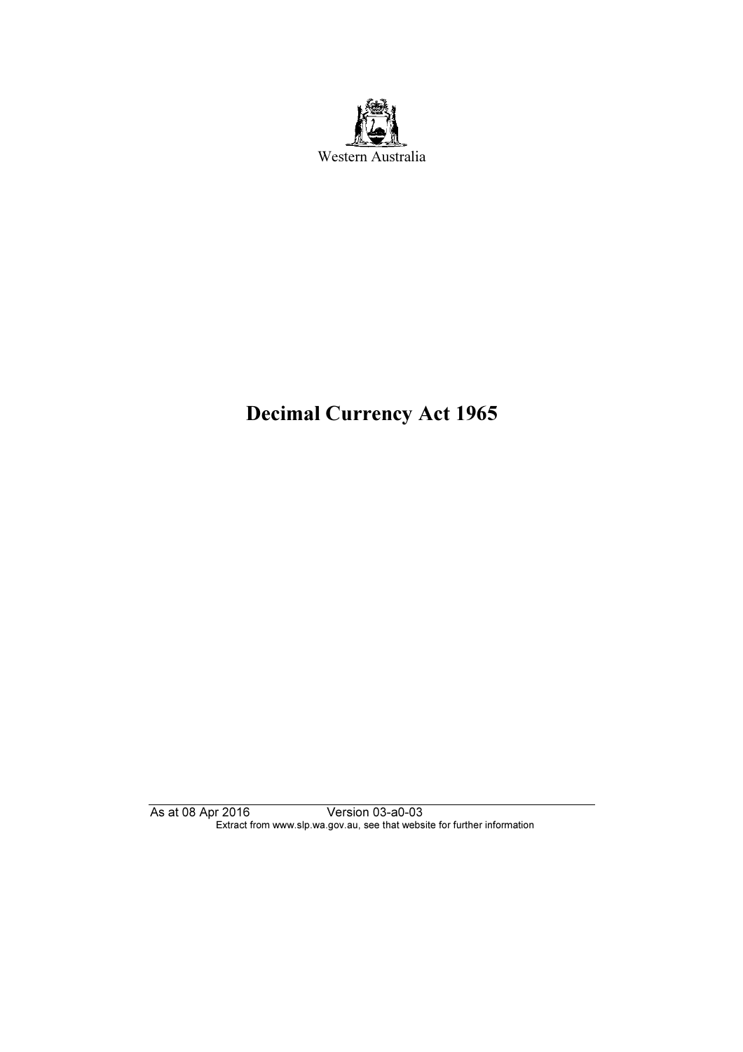

# Decimal Currency Act 1965

As at 08 Apr 2016 Version 03-a0-03 Extract from www.slp.wa.gov.au, see that website for further information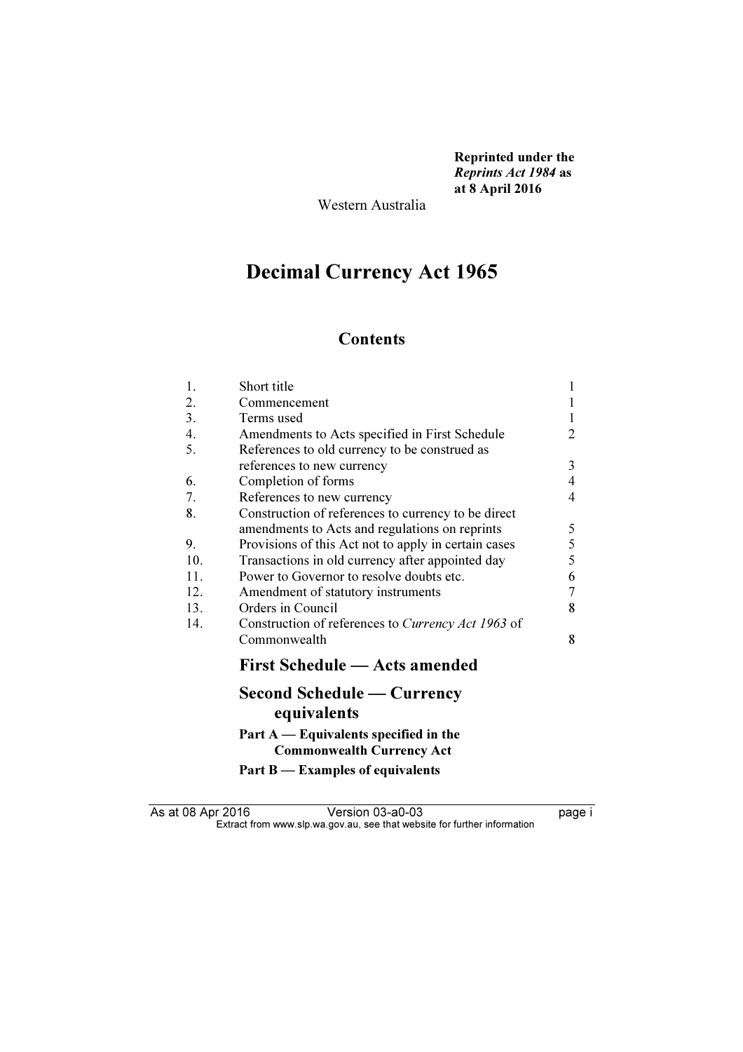Reprinted under the Reprints Act 1984 as at 8 April 2016

Western Australia

# Decimal Currency Act 1965

# **Contents**

| 1.  | Short title                                                                 | 1              |
|-----|-----------------------------------------------------------------------------|----------------|
| 2.  | Commencement                                                                |                |
| 3.  | Terms used                                                                  | $\mathbf{1}$   |
| 4.  | Amendments to Acts specified in First Schedule                              | 2              |
| 5.  | References to old currency to be construed as                               |                |
|     | references to new currency                                                  | 3              |
| 6.  | Completion of forms                                                         | $\overline{4}$ |
| 7.  | References to new currency                                                  | $\overline{4}$ |
| 8.  | Construction of references to currency to be direct                         |                |
|     | amendments to Acts and regulations on reprints                              | 5              |
| 9.  | Provisions of this Act not to apply in certain cases                        | 5              |
| 10. | Transactions in old currency after appointed day                            | 5              |
| 11. | Power to Governor to resolve doubts etc.                                    | 6              |
| 12. | Amendment of statutory instruments                                          | $\tau$         |
| 13. | Orders in Council                                                           | 8              |
| 14. | Construction of references to Currency Act 1963 of                          |                |
|     | Commonwealth                                                                | 8              |
|     | <b>First Schedule — Acts amended</b>                                        |                |
|     | <b>Second Schedule — Currency</b><br>equivalents                            |                |
|     | Part $A$ — Equivalents specified in the<br><b>Commonwealth Currency Act</b> |                |
|     | Part B — Examples of equivalents                                            |                |

As at 08 Apr 2016 Version 03-a0-03 page i  $\mathbf{F}$  from which was the set that we besite for further information  $\mathbf{F}$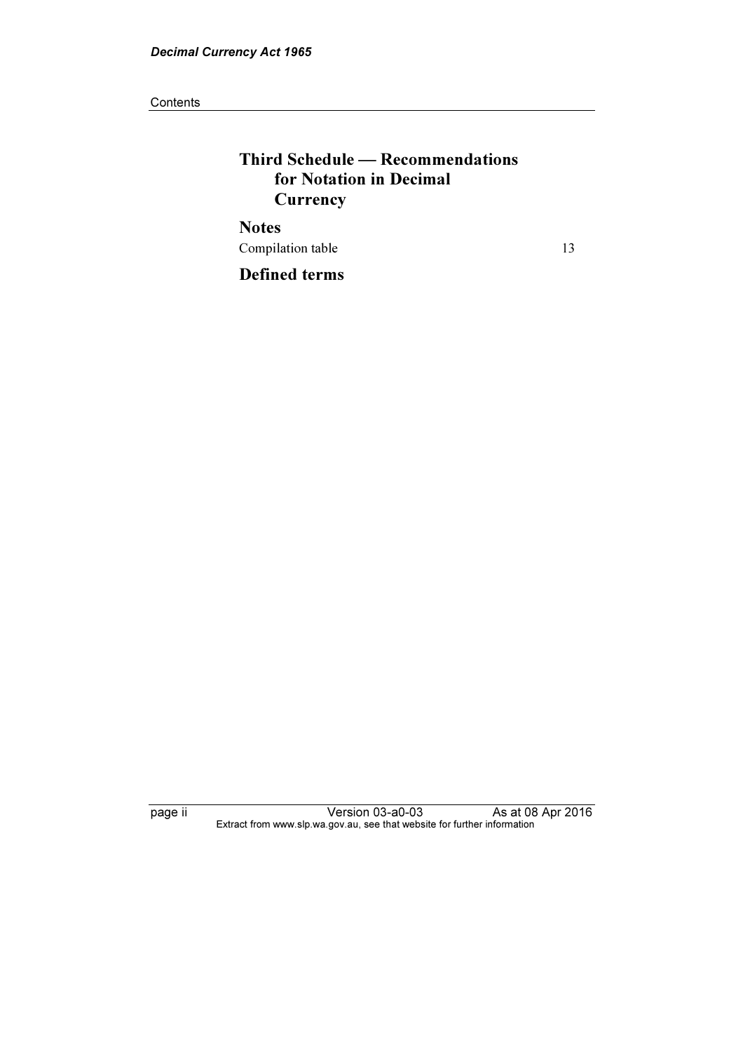**Contents** 

# Third Schedule — Recommendations for Notation in Decimal **Currency Notes**

Compilation table 13

Defined terms

page ii Version 03-a0-03 As at 08 Apr 2016 Extract from www.slp.wa.gov.au, see that website for further information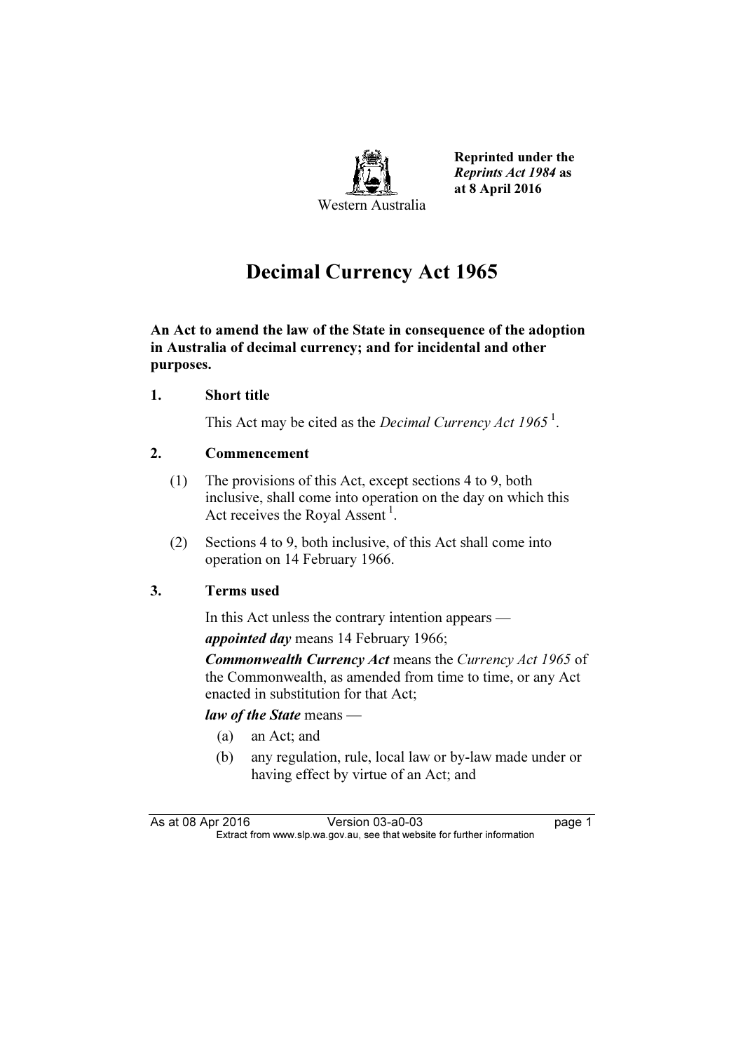

Reprinted under the Reprints Act 1984 as at 8 April 2016

# Decimal Currency Act 1965

An Act to amend the law of the State in consequence of the adoption in Australia of decimal currency; and for incidental and other purposes.

## 1. Short title

This Act may be cited as the *Decimal Currency Act 1965*<sup>1</sup>.

# 2. Commencement

- (1) The provisions of this Act, except sections 4 to 9, both inclusive, shall come into operation on the day on which this Act receives the Royal Assent<sup>1</sup>.
- (2) Sections 4 to 9, both inclusive, of this Act shall come into operation on 14 February 1966.

# 3. Terms used

In this Act unless the contrary intention appears —

appointed day means 14 February 1966;

**Commonwealth Currency Act means the Currency Act 1965 of** the Commonwealth, as amended from time to time, or any Act enacted in substitution for that Act;

#### law of the State means —

- (a) an Act; and
- (b) any regulation, rule, local law or by-law made under or having effect by virtue of an Act; and

As at 08 Apr 2016 Version 03-a0-03 page 1<br>Extract from www.slp.wa.gov.au, see that website for further information  $\mathbf{F}$  from which was the set that we besite for further information  $\mathbf{F}$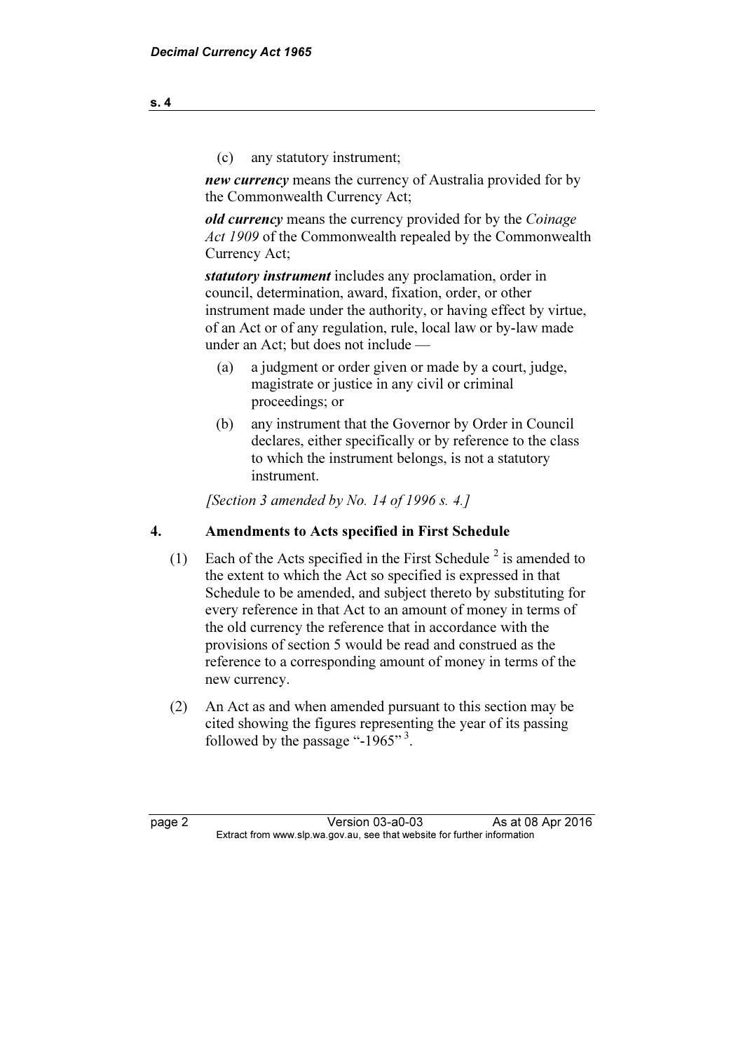(c) any statutory instrument;

new currency means the currency of Australia provided for by the Commonwealth Currency Act;

old currency means the currency provided for by the Coinage Act 1909 of the Commonwealth repealed by the Commonwealth Currency Act;

statutory instrument includes any proclamation, order in council, determination, award, fixation, order, or other instrument made under the authority, or having effect by virtue, of an Act or of any regulation, rule, local law or by-law made under an Act; but does not include —

- (a) a judgment or order given or made by a court, judge, magistrate or justice in any civil or criminal proceedings; or
- (b) any instrument that the Governor by Order in Council declares, either specifically or by reference to the class to which the instrument belongs, is not a statutory instrument.

[Section 3 amended by No. 14 of 1996 s. 4.]

## 4. Amendments to Acts specified in First Schedule

- (1) Each of the Acts specified in the First Schedule<sup>2</sup> is amended to the extent to which the Act so specified is expressed in that Schedule to be amended, and subject thereto by substituting for every reference in that Act to an amount of money in terms of the old currency the reference that in accordance with the provisions of section 5 would be read and construed as the reference to a corresponding amount of money in terms of the new currency.
	- (2) An Act as and when amended pursuant to this section may be cited showing the figures representing the year of its passing followed by the passage "-1965"<sup>3</sup>.

page 2 Version 03-a0-03 As at 08 Apr 2016<br>Extract from www.slp.wa.gov.au, see that website for further information  $\mathbf{F}$  from which was the set that we besite for further information  $\mathbf{F}$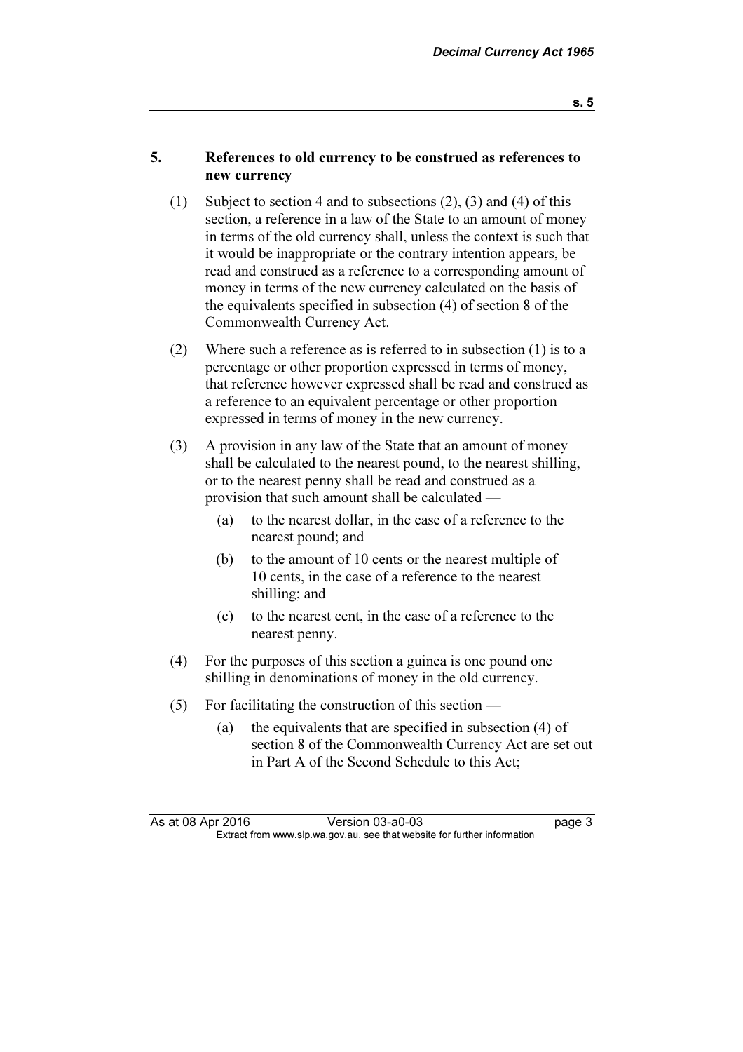#### 5. References to old currency to be construed as references to new currency

- (1) Subject to section 4 and to subsections (2), (3) and (4) of this section, a reference in a law of the State to an amount of money in terms of the old currency shall, unless the context is such that it would be inappropriate or the contrary intention appears, be read and construed as a reference to a corresponding amount of money in terms of the new currency calculated on the basis of the equivalents specified in subsection (4) of section 8 of the Commonwealth Currency Act.
- (2) Where such a reference as is referred to in subsection (1) is to a percentage or other proportion expressed in terms of money, that reference however expressed shall be read and construed as a reference to an equivalent percentage or other proportion expressed in terms of money in the new currency.
- (3) A provision in any law of the State that an amount of money shall be calculated to the nearest pound, to the nearest shilling, or to the nearest penny shall be read and construed as a provision that such amount shall be calculated —
	- (a) to the nearest dollar, in the case of a reference to the nearest pound; and
	- (b) to the amount of 10 cents or the nearest multiple of 10 cents, in the case of a reference to the nearest shilling; and
	- (c) to the nearest cent, in the case of a reference to the nearest penny.
- (4) For the purposes of this section a guinea is one pound one shilling in denominations of money in the old currency.
- (5) For facilitating the construction of this section
	- (a) the equivalents that are specified in subsection (4) of section 8 of the Commonwealth Currency Act are set out in Part A of the Second Schedule to this Act;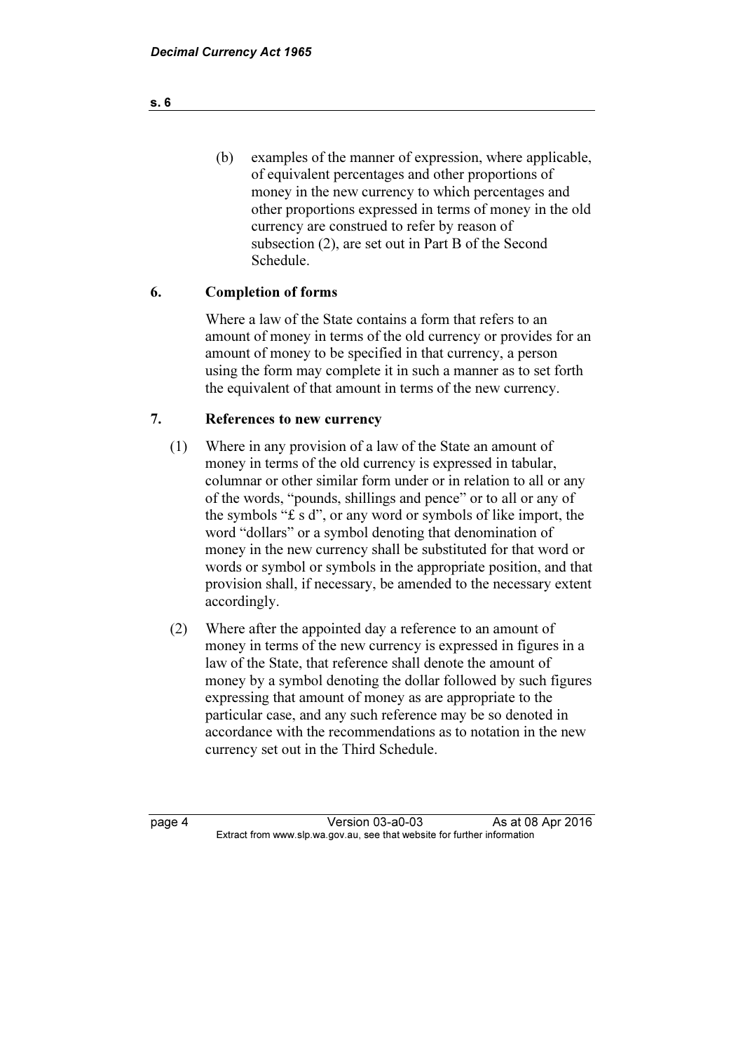(b) examples of the manner of expression, where applicable, of equivalent percentages and other proportions of money in the new currency to which percentages and other proportions expressed in terms of money in the old currency are construed to refer by reason of subsection (2), are set out in Part B of the Second Schedule.

# 6. Completion of forms

 Where a law of the State contains a form that refers to an amount of money in terms of the old currency or provides for an amount of money to be specified in that currency, a person using the form may complete it in such a manner as to set forth the equivalent of that amount in terms of the new currency.

## 7. References to new currency

- (1) Where in any provision of a law of the State an amount of money in terms of the old currency is expressed in tabular, columnar or other similar form under or in relation to all or any of the words, "pounds, shillings and pence" or to all or any of the symbols "£ s d", or any word or symbols of like import, the word "dollars" or a symbol denoting that denomination of money in the new currency shall be substituted for that word or words or symbol or symbols in the appropriate position, and that provision shall, if necessary, be amended to the necessary extent accordingly.
- (2) Where after the appointed day a reference to an amount of money in terms of the new currency is expressed in figures in a law of the State, that reference shall denote the amount of money by a symbol denoting the dollar followed by such figures expressing that amount of money as are appropriate to the particular case, and any such reference may be so denoted in accordance with the recommendations as to notation in the new currency set out in the Third Schedule.

page 4 Version 03-a0-03 As at 08 Apr 2016<br>Extract from www.slp.wa.gov.au, see that website for further information  $\mathbf{F}$  from which was the set that we besite for further information  $\mathbf{F}$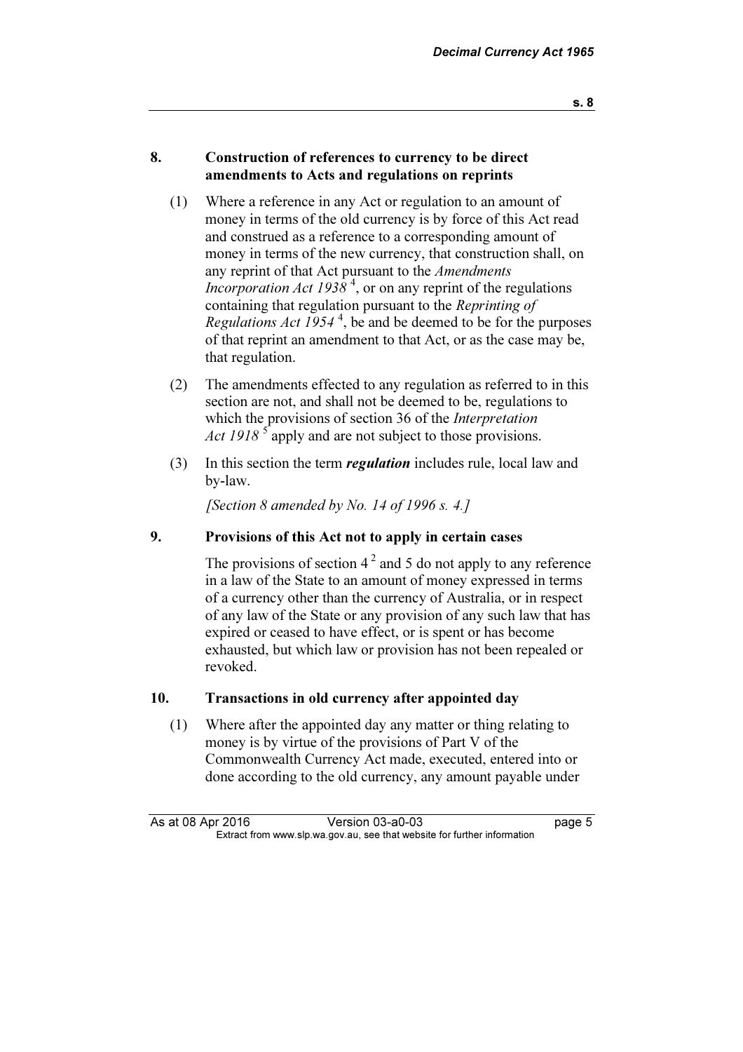#### 8. Construction of references to currency to be direct amendments to Acts and regulations on reprints

- (1) Where a reference in any Act or regulation to an amount of money in terms of the old currency is by force of this Act read and construed as a reference to a corresponding amount of money in terms of the new currency, that construction shall, on any reprint of that Act pursuant to the *Amendments Incorporation Act 1938*<sup>4</sup>, or on any reprint of the regulations containing that regulation pursuant to the Reprinting of Regulations Act  $1954^4$ , be and be deemed to be for the purposes of that reprint an amendment to that Act, or as the case may be, that regulation.
- (2) The amendments effected to any regulation as referred to in this section are not, and shall not be deemed to be, regulations to which the provisions of section 36 of the *Interpretation* Act 1918  $\frac{1}{5}$  apply and are not subject to those provisions.
- (3) In this section the term regulation includes rule, local law and by-law.

[Section 8 amended by No. 14 of 1996 s. 4.]

#### 9. Provisions of this Act not to apply in certain cases

The provisions of section  $4^2$  and 5 do not apply to any reference in a law of the State to an amount of money expressed in terms of a currency other than the currency of Australia, or in respect of any law of the State or any provision of any such law that has expired or ceased to have effect, or is spent or has become exhausted, but which law or provision has not been repealed or revoked.

#### 10. Transactions in old currency after appointed day

 (1) Where after the appointed day any matter or thing relating to money is by virtue of the provisions of Part V of the Commonwealth Currency Act made, executed, entered into or done according to the old currency, any amount payable under

As at 08 Apr 2016 Version 03-a0-03 page 5<br>Extract from www.slp.wa.gov.au, see that website for further information  $\mathbf{F}$  from which was the set that we besite for further information  $\mathbf{F}$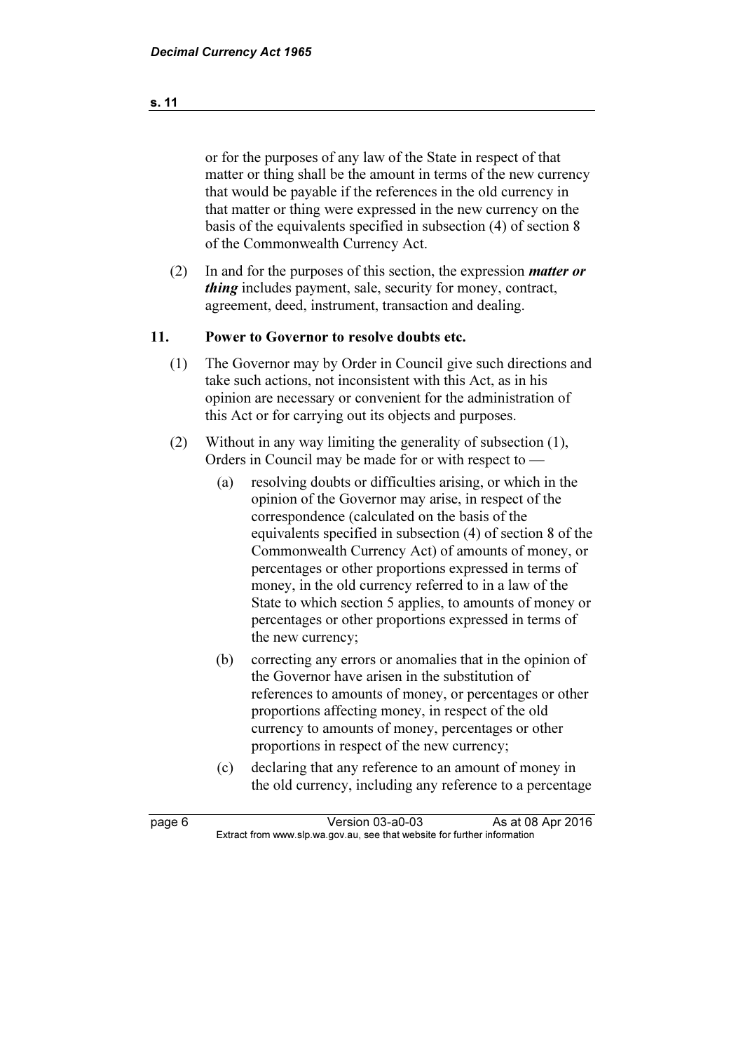or for the purposes of any law of the State in respect of that matter or thing shall be the amount in terms of the new currency that would be payable if the references in the old currency in that matter or thing were expressed in the new currency on the basis of the equivalents specified in subsection (4) of section 8 of the Commonwealth Currency Act.

 (2) In and for the purposes of this section, the expression matter or thing includes payment, sale, security for money, contract, agreement, deed, instrument, transaction and dealing.

## 11. Power to Governor to resolve doubts etc.

- (1) The Governor may by Order in Council give such directions and take such actions, not inconsistent with this Act, as in his opinion are necessary or convenient for the administration of this Act or for carrying out its objects and purposes.
- (2) Without in any way limiting the generality of subsection (1), Orders in Council may be made for or with respect to —
	- (a) resolving doubts or difficulties arising, or which in the opinion of the Governor may arise, in respect of the correspondence (calculated on the basis of the equivalents specified in subsection (4) of section 8 of the Commonwealth Currency Act) of amounts of money, or percentages or other proportions expressed in terms of money, in the old currency referred to in a law of the State to which section 5 applies, to amounts of money or percentages or other proportions expressed in terms of the new currency;
	- (b) correcting any errors or anomalies that in the opinion of the Governor have arisen in the substitution of references to amounts of money, or percentages or other proportions affecting money, in respect of the old currency to amounts of money, percentages or other proportions in respect of the new currency;
	- (c) declaring that any reference to an amount of money in the old currency, including any reference to a percentage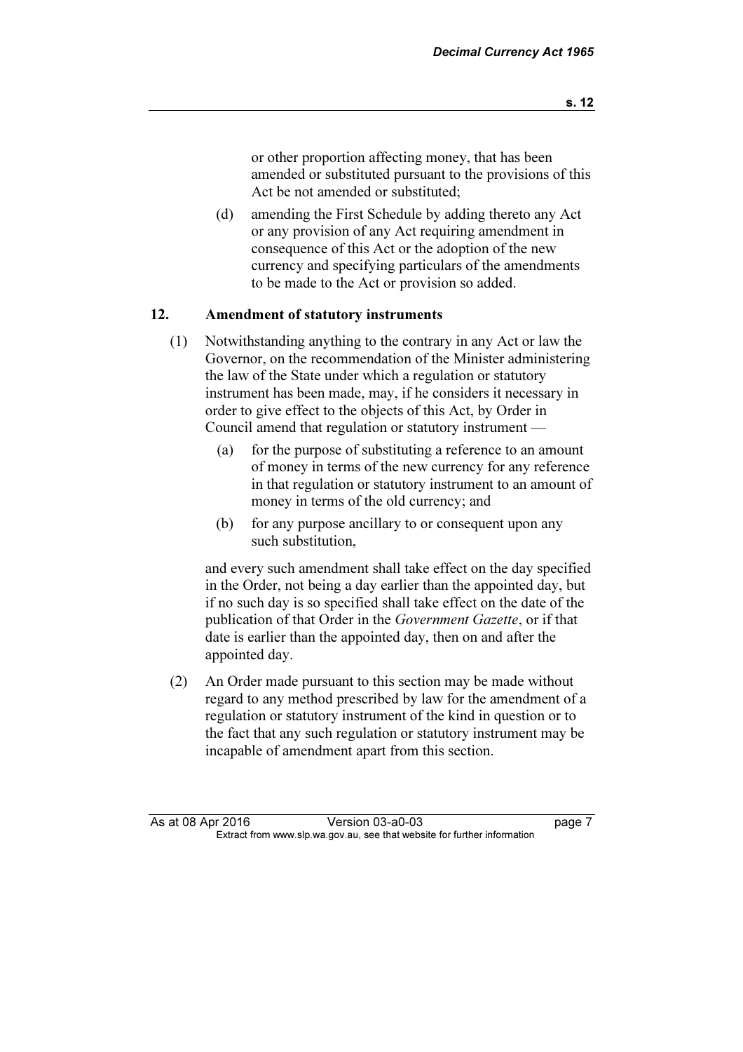or other proportion affecting money, that has been amended or substituted pursuant to the provisions of this Act be not amended or substituted;

 (d) amending the First Schedule by adding thereto any Act or any provision of any Act requiring amendment in consequence of this Act or the adoption of the new currency and specifying particulars of the amendments to be made to the Act or provision so added.

## 12. Amendment of statutory instruments

- (1) Notwithstanding anything to the contrary in any Act or law the Governor, on the recommendation of the Minister administering the law of the State under which a regulation or statutory instrument has been made, may, if he considers it necessary in order to give effect to the objects of this Act, by Order in Council amend that regulation or statutory instrument —
	- (a) for the purpose of substituting a reference to an amount of money in terms of the new currency for any reference in that regulation or statutory instrument to an amount of money in terms of the old currency; and
	- (b) for any purpose ancillary to or consequent upon any such substitution,

 and every such amendment shall take effect on the day specified in the Order, not being a day earlier than the appointed day, but if no such day is so specified shall take effect on the date of the publication of that Order in the Government Gazette, or if that date is earlier than the appointed day, then on and after the appointed day.

 (2) An Order made pursuant to this section may be made without regard to any method prescribed by law for the amendment of a regulation or statutory instrument of the kind in question or to the fact that any such regulation or statutory instrument may be incapable of amendment apart from this section.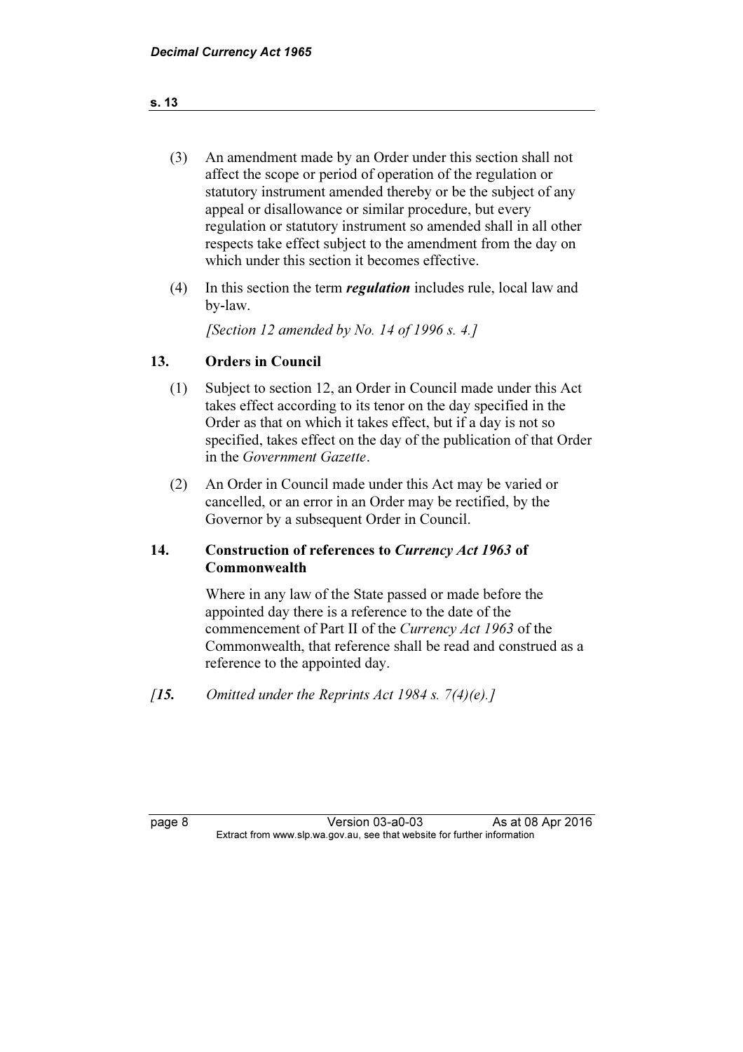- (3) An amendment made by an Order under this section shall not affect the scope or period of operation of the regulation or statutory instrument amended thereby or be the subject of any appeal or disallowance or similar procedure, but every regulation or statutory instrument so amended shall in all other respects take effect subject to the amendment from the day on which under this section it becomes effective.
- (4) In this section the term regulation includes rule, local law and by-law.

[Section 12 amended by No. 14 of 1996 s. 4.]

## 13. Orders in Council

- (1) Subject to section 12, an Order in Council made under this Act takes effect according to its tenor on the day specified in the Order as that on which it takes effect, but if a day is not so specified, takes effect on the day of the publication of that Order in the Government Gazette.
- (2) An Order in Council made under this Act may be varied or cancelled, or an error in an Order may be rectified, by the Governor by a subsequent Order in Council.

## 14. Construction of references to Currency Act 1963 of Commonwealth

 Where in any law of the State passed or made before the appointed day there is a reference to the date of the commencement of Part II of the Currency Act 1963 of the Commonwealth, that reference shall be read and construed as a reference to the appointed day.

[15. Omitted under the Reprints Act 1984 s.  $7(4)(e)$ .]

page 8 Version 03-a0-03 As at 08 Apr 2016<br>Extract from www.slp.wa.gov.au, see that website for further information  $\mathbf{F}$  from which was the set that we besite for further information  $\mathbf{F}$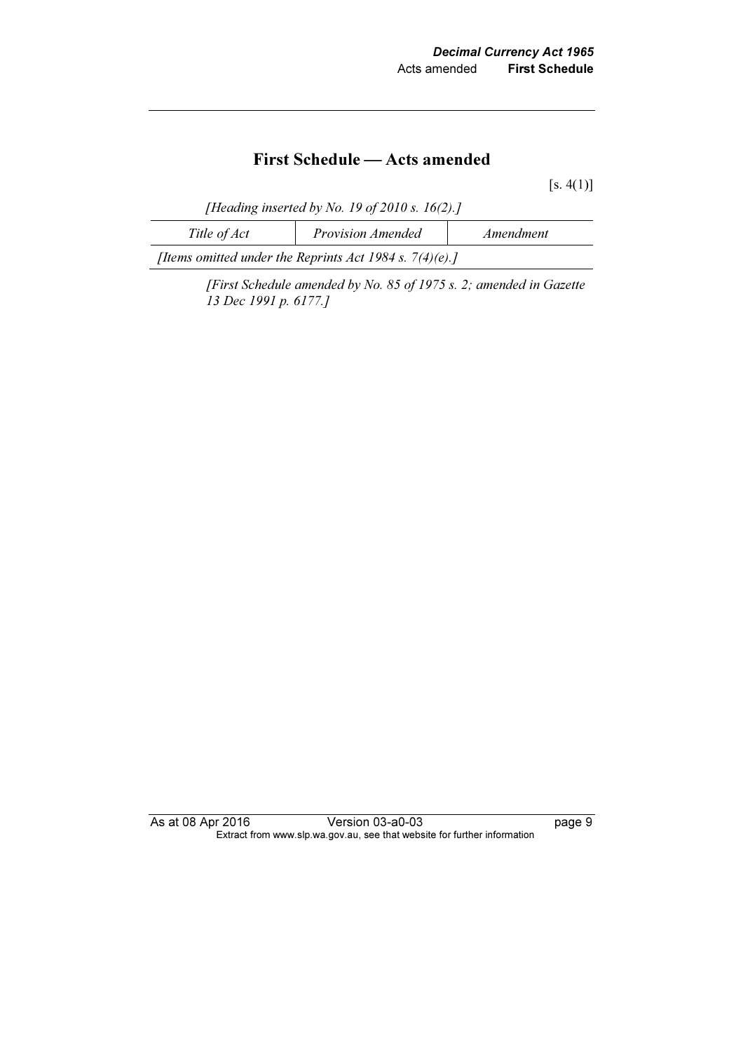# First Schedule — Acts amended

 $[s. 4(1)]$ 

[Heading inserted by No. 19 of 2010 s.  $16(2)$ .]

| Title of Act                                               | <b>Provision Amended</b> | Amendment |  |  |
|------------------------------------------------------------|--------------------------|-----------|--|--|
| [Items omitted under the Reprints Act 1984 s. $7(4)(e)$ .] |                          |           |  |  |

 [First Schedule amended by No. 85 of 1975 s. 2; amended in Gazette 13 Dec 1991 p. 6177.]

As at 08 Apr 2016 Version 03-a0-03 Page 9 Extract from www.slp.wa.gov.au, see that website for further information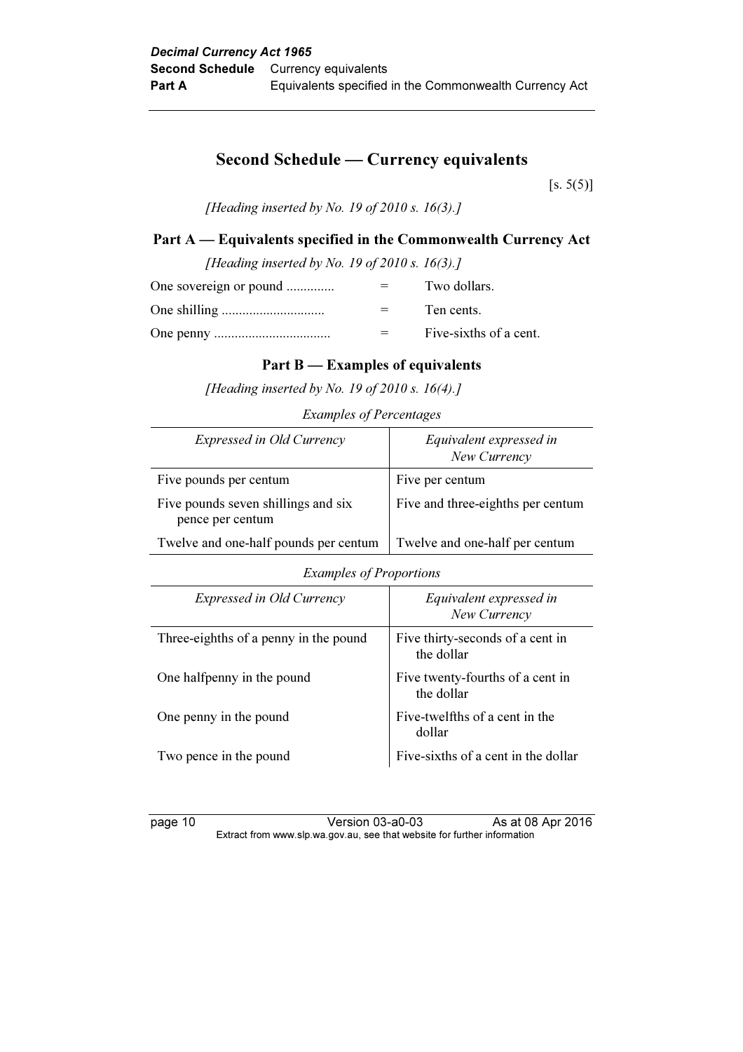# Second Schedule — Currency equivalents

 $[s. 5(5)]$ 

[Heading inserted by No. 19 of 2010 s. 16(3).]

# Part A — Equivalents specified in the Commonwealth Currency Act

| [Heading inserted by No. 19 of 2010 s. 16(3).] |  |                        |  |
|------------------------------------------------|--|------------------------|--|
| One sovereign or pound                         |  | Two dollars.           |  |
|                                                |  | Ten cents.             |  |
|                                                |  | Five-sixths of a cent. |  |

#### Part B — Examples of equivalents

[Heading inserted by No. 19 of 2010 s. 16(4).]

Examples of Percentages

| Expressed in Old Currency                               | Equivalent expressed in<br>New Currency |
|---------------------------------------------------------|-----------------------------------------|
| Five pounds per centum                                  | Five per centum                         |
| Five pounds seven shillings and six<br>pence per centum | Five and three-eighths per centum       |
| Twelve and one-half pounds per centum                   | Twelve and one-half per centum          |

Examples of Proportions

| Expressed in Old Currency             | Equivalent expressed in<br>New Currency        |
|---------------------------------------|------------------------------------------------|
| Three-eighths of a penny in the pound | Five thirty-seconds of a cent in<br>the dollar |
| One halfpenny in the pound            | Five twenty-fourths of a cent in<br>the dollar |
| One penny in the pound                | Five-twelfths of a cent in the<br>dollar       |
| Two pence in the pound                | Five-sixths of a cent in the dollar            |

page 10 Version 03-a0-03 As at 08 Apr 2016 Extract from www.slp.wa.gov.au, see that website for further information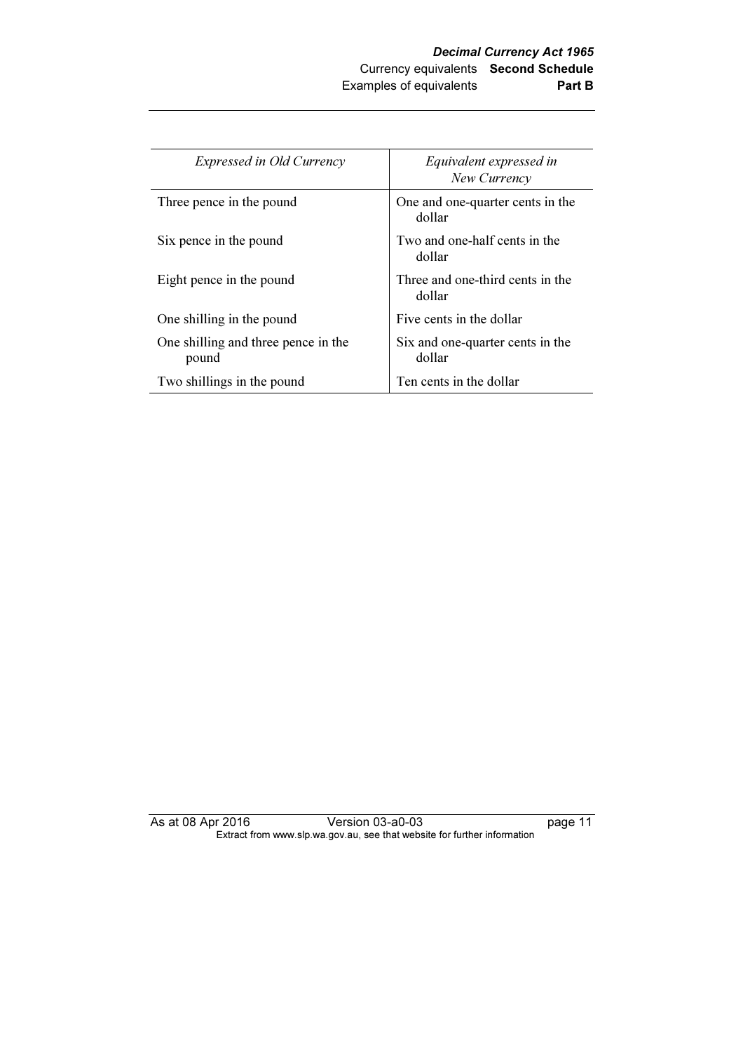| <b>Expressed in Old Currency</b>             | Equivalent expressed in<br>New Currency    |
|----------------------------------------------|--------------------------------------------|
| Three pence in the pound                     | One and one-quarter cents in the<br>dollar |
| Six pence in the pound                       | Two and one-half cents in the<br>dollar    |
| Eight pence in the pound                     | Three and one-third cents in the<br>dollar |
| One shilling in the pound                    | Five cents in the dollar                   |
| One shilling and three pence in the<br>pound | Six and one-quarter cents in the<br>dollar |
| Two shillings in the pound                   | Ten cents in the dollar                    |

As at 08 Apr 2016 Version 03-a0-03 page 11 Extract from www.slp.wa.gov.au, see that website for further information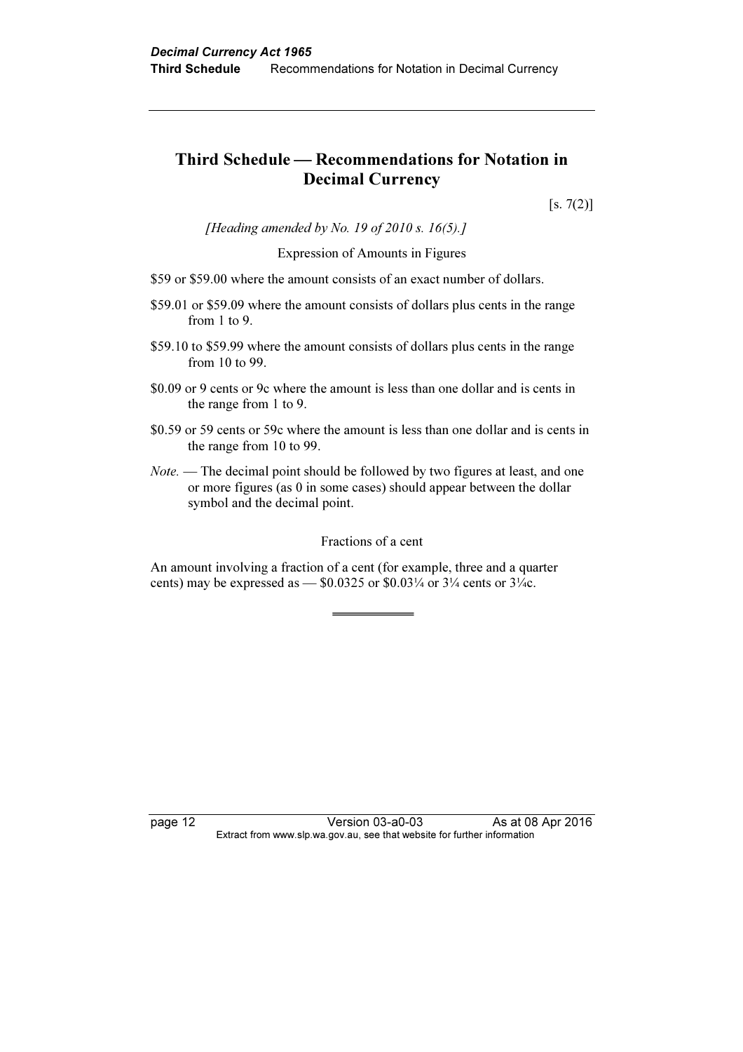# Third Schedule — Recommendations for Notation in Decimal Currency

 $[s. 7(2)]$ 

[Heading amended by No. 19 of 2010 s. 16(5).]

#### Expression of Amounts in Figures

- \$59 or \$59.00 where the amount consists of an exact number of dollars.
- \$59.01 or \$59.09 where the amount consists of dollars plus cents in the range from 1 to 9.
- \$59.10 to \$59.99 where the amount consists of dollars plus cents in the range from 10 to 99.
- \$0.09 or 9 cents or 9c where the amount is less than one dollar and is cents in the range from 1 to 9.
- \$0.59 or 59 cents or 59c where the amount is less than one dollar and is cents in the range from 10 to 99.
- Note. The decimal point should be followed by two figures at least, and one or more figures (as 0 in some cases) should appear between the dollar symbol and the decimal point.

#### Fractions of a cent

An amount involving a fraction of a cent (for example, three and a quarter cents) may be expressed as —  $$0.0325$  or  $$0.03\frac{1}{4}$  or  $3\frac{1}{4}$  cents or  $3\frac{1}{4}$ c.

page 12 Version 03-a0-03 As at 08 Apr 2016<br>Extract from www.slp.wa.gov.au, see that website for further information  $\mathbf{F}$  from which was the set that we besite for further information  $\mathbf{F}$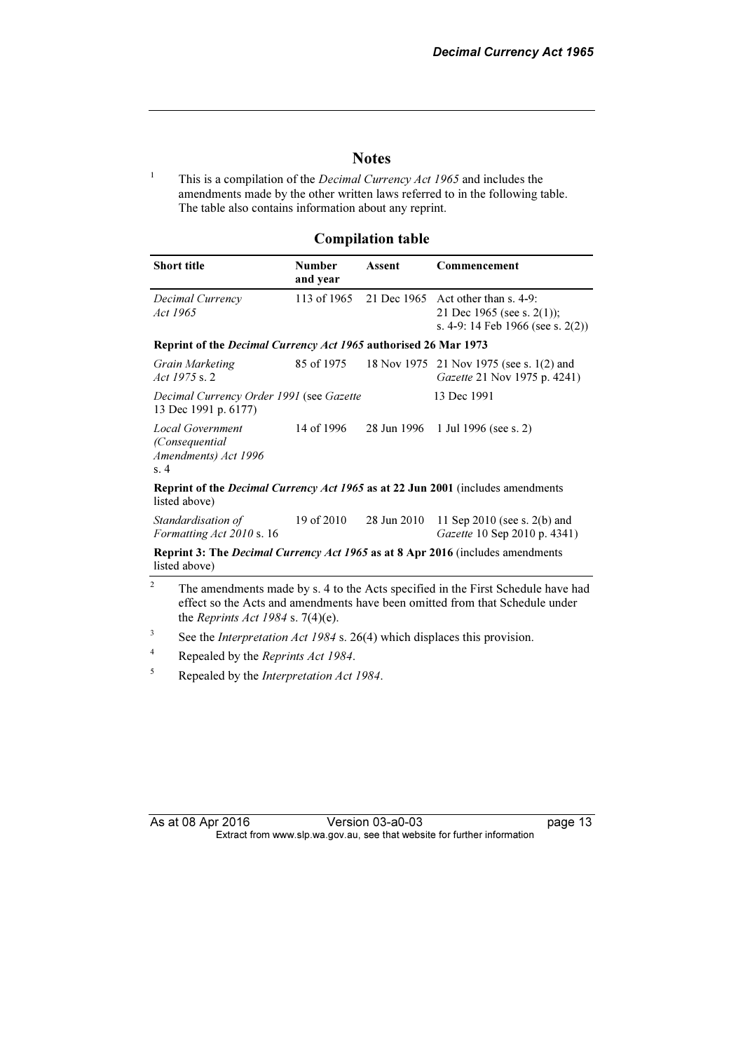$page 13$ 

#### **Notes**

1 This is a compilation of the Decimal Currency Act 1965 and includes the amendments made by the other written laws referred to in the following table. The table also contains information about any reprint.

#### Compilation table

| Short title                                                                                                    | <b>Number</b><br>and year | Assent      | Commencement                                                                                             |  |
|----------------------------------------------------------------------------------------------------------------|---------------------------|-------------|----------------------------------------------------------------------------------------------------------|--|
| Decimal Currency<br>Act 1965                                                                                   | 113 of 1965               |             | 21 Dec 1965 Act other than s. 4-9:<br>21 Dec 1965 (see s. 2(1));<br>s. 4-9: 14 Feb 1966 (see s. $2(2)$ ) |  |
| Reprint of the Decimal Currency Act 1965 authorised 26 Mar 1973                                                |                           |             |                                                                                                          |  |
| Grain Marketing<br>Act 1975 s. 2                                                                               |                           |             | 85 of 1975 18 Nov 1975 21 Nov 1975 (see s. 1(2) and<br><i>Gazette</i> 21 Nov 1975 p. 4241)               |  |
| Decimal Currency Order 1991 (see Gazette<br>13 Dec 1991 p. 6177)                                               |                           |             | 13 Dec 1991                                                                                              |  |
| <b>Local Government</b><br>(Consequential)<br>Amendments) Act 1996<br>s.4                                      | 14 of 1996                |             | 28 Jun 1996 1 Jul 1996 (see s. 2)                                                                        |  |
| <b>Reprint of the <i>Decimal Currency Act 1965</i></b> as at 22 Jun 2001 (includes amendments<br>listed above) |                           |             |                                                                                                          |  |
| Standardisation of<br>Formatting Act 2010 s. 16                                                                | 19 of 2010                | 28 Jun 2010 | 11 Sep 2010 (see s. $2(b)$ ) and<br><i>Gazette</i> 10 Sep 2010 p. 4341)                                  |  |
| <b>Reprint 3: The <i>Decimal Currency Act 1965</i> as at 8 Apr 2016</b> (includes amendments                   |                           |             |                                                                                                          |  |

listed above)

- 2 The amendments made by s. 4 to the Acts specified in the First Schedule have had effect so the Acts and amendments have been omitted from that Schedule under the Reprints Act 1984 s. 7(4)(e).
- 3 See the *Interpretation Act 1984* s. 26(4) which displaces this provision.
- 4 Repealed by the Reprints Act 1984.
- 5 Repealed by the Interpretation Act 1984.

| As at 08 Apr 2016 | Version 03-a0-03                                                         |
|-------------------|--------------------------------------------------------------------------|
|                   | Extract from www.slp.wa.gov.au, see that website for further information |